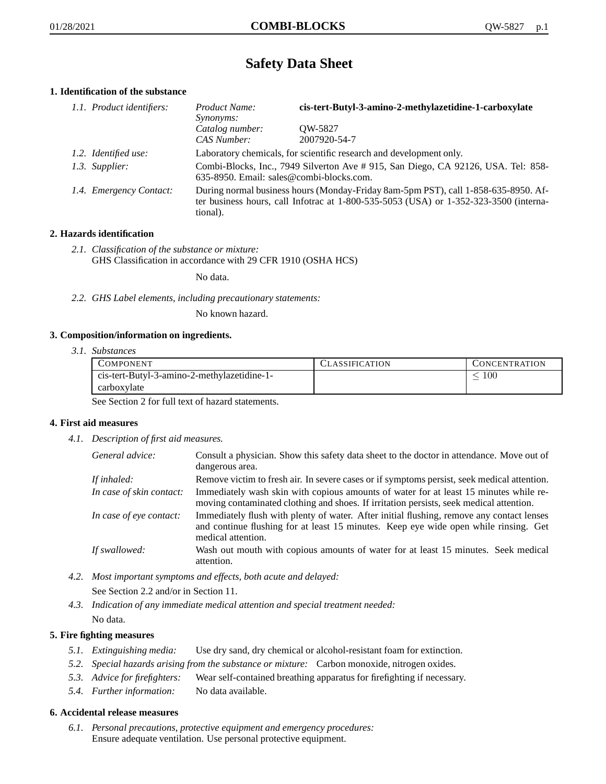# **Safety Data Sheet**

# **1. Identification of the substance**

| 1.1. Product identifiers: | Product Name:<br>Synonyms:                                                                                                                                                              | cis-tert-Butyl-3-amino-2-methylazetidine-1-carboxylate              |
|---------------------------|-----------------------------------------------------------------------------------------------------------------------------------------------------------------------------------------|---------------------------------------------------------------------|
|                           | Catalog number:<br>CAS Number:                                                                                                                                                          | OW-5827<br>2007920-54-7                                             |
| 1.2. Identified use:      |                                                                                                                                                                                         | Laboratory chemicals, for scientific research and development only. |
| 1.3. Supplier:            | Combi-Blocks, Inc., 7949 Silverton Ave # 915, San Diego, CA 92126, USA. Tel: 858-<br>635-8950. Email: sales@combi-blocks.com.                                                           |                                                                     |
| 1.4. Emergency Contact:   | During normal business hours (Monday-Friday 8am-5pm PST), call 1-858-635-8950. Af-<br>ter business hours, call Infotrac at 1-800-535-5053 (USA) or 1-352-323-3500 (interna-<br>tional). |                                                                     |

# **2. Hazards identification**

*2.1. Classification of the substance or mixture:* GHS Classification in accordance with 29 CFR 1910 (OSHA HCS)

No data.

*2.2. GHS Label elements, including precautionary statements:*

No known hazard.

## **3. Composition/information on ingredients.**

*3.1. Substances*

| <b>COMPONENT</b>                            | CLASSIFICATION | <b>CONCENTRATION</b> |
|---------------------------------------------|----------------|----------------------|
| cis-tert-Butyl-3-amino-2-methylazetidine-1- |                | $100\,$              |
| carboxylate                                 |                |                      |

See Section 2 for full text of hazard statements.

## **4. First aid measures**

*4.1. Description of first aid measures.*

| General advice:          | Consult a physician. Show this safety data sheet to the doctor in attendance. Move out of<br>dangerous area.                                                                                            |
|--------------------------|---------------------------------------------------------------------------------------------------------------------------------------------------------------------------------------------------------|
| If inhaled:              | Remove victim to fresh air. In severe cases or if symptoms persist, seek medical attention.                                                                                                             |
| In case of skin contact: | Immediately wash skin with copious amounts of water for at least 15 minutes while re-<br>moving contaminated clothing and shoes. If irritation persists, seek medical attention.                        |
| In case of eye contact:  | Immediately flush with plenty of water. After initial flushing, remove any contact lenses<br>and continue flushing for at least 15 minutes. Keep eye wide open while rinsing. Get<br>medical attention. |
| If swallowed:            | Wash out mouth with copious amounts of water for at least 15 minutes. Seek medical<br>attention.                                                                                                        |

*4.2. Most important symptoms and effects, both acute and delayed:*

See Section 2.2 and/or in Section 11.

*4.3. Indication of any immediate medical attention and special treatment needed:* No data.

## **5. Fire fighting measures**

- *5.1. Extinguishing media:* Use dry sand, dry chemical or alcohol-resistant foam for extinction.
- *5.2. Special hazards arising from the substance or mixture:* Carbon monoxide, nitrogen oxides.
- *5.3. Advice for firefighters:* Wear self-contained breathing apparatus for firefighting if necessary.
- *5.4. Further information:* No data available.

## **6. Accidental release measures**

*6.1. Personal precautions, protective equipment and emergency procedures:* Ensure adequate ventilation. Use personal protective equipment.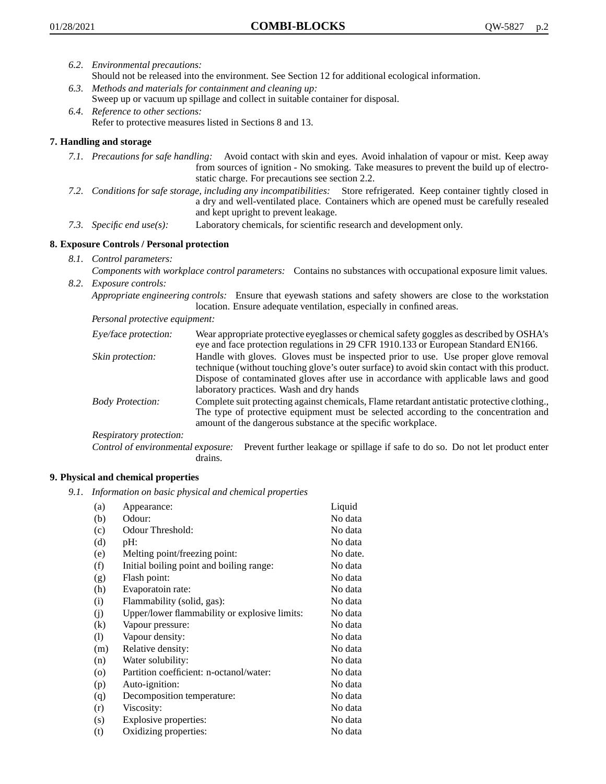- *6.2. Environmental precautions:*
	- Should not be released into the environment. See Section 12 for additional ecological information.
- *6.3. Methods and materials for containment and cleaning up:* Sweep up or vacuum up spillage and collect in suitable container for disposal.
- *6.4. Reference to other sections:* Refer to protective measures listed in Sections 8 and 13.

# **7. Handling and storage**

- *7.1. Precautions for safe handling:* Avoid contact with skin and eyes. Avoid inhalation of vapour or mist. Keep away from sources of ignition - No smoking. Take measures to prevent the build up of electrostatic charge. For precautions see section 2.2.
- *7.2. Conditions for safe storage, including any incompatibilities:* Store refrigerated. Keep container tightly closed in a dry and well-ventilated place. Containers which are opened must be carefully resealed and kept upright to prevent leakage.
- *7.3. Specific end use(s):* Laboratory chemicals, for scientific research and development only.

## **8. Exposure Controls / Personal protection**

*8.1. Control parameters:*

*Components with workplace control parameters:* Contains no substances with occupational exposure limit values. *8.2. Exposure controls:*

*Appropriate engineering controls:* Ensure that eyewash stations and safety showers are close to the workstation location. Ensure adequate ventilation, especially in confined areas.

*Personal protective equipment:*

| Eye/face protection:    | Wear appropriate protective eyeglasses or chemical safety goggles as described by OSHA's<br>eye and face protection regulations in 29 CFR 1910.133 or European Standard EN166.                                                                                                                                         |
|-------------------------|------------------------------------------------------------------------------------------------------------------------------------------------------------------------------------------------------------------------------------------------------------------------------------------------------------------------|
| Skin protection:        | Handle with gloves. Gloves must be inspected prior to use. Use proper glove removal<br>technique (without touching glove's outer surface) to avoid skin contact with this product.<br>Dispose of contaminated gloves after use in accordance with applicable laws and good<br>laboratory practices. Wash and dry hands |
| <b>Body Protection:</b> | Complete suit protecting against chemicals, Flame retardant antistatic protective clothing.,<br>The type of protective equipment must be selected according to the concentration and<br>amount of the dangerous substance at the specific workplace.                                                                   |
| Respiratory protection: |                                                                                                                                                                                                                                                                                                                        |

Control of environmental exposure: Prevent further leakage or spillage if safe to do so. Do not let product enter drains.

## **9. Physical and chemical properties**

*9.1. Information on basic physical and chemical properties*

| (a)               | Appearance:                                   | Liquid   |
|-------------------|-----------------------------------------------|----------|
| (b)               | Odour:                                        | No data  |
| (c)               | Odour Threshold:                              | No data  |
| (d)               | pH:                                           | No data  |
| (e)               | Melting point/freezing point:                 | No date. |
| (f)               | Initial boiling point and boiling range:      | No data  |
| (g)               | Flash point:                                  | No data  |
| (h)               | Evaporatoin rate:                             | No data  |
| (i)               | Flammability (solid, gas):                    | No data  |
| (j)               | Upper/lower flammability or explosive limits: | No data  |
| $\left( k\right)$ | Vapour pressure:                              | No data  |
| (1)               | Vapour density:                               | No data  |
| (m)               | Relative density:                             | No data  |
| (n)               | Water solubility:                             | No data  |
| $\circ$           | Partition coefficient: n-octanol/water:       | No data  |
| (p)               | Auto-ignition:                                | No data  |
| (q)               | Decomposition temperature:                    | No data  |
| (r)               | Viscosity:                                    | No data  |
| (s)               | Explosive properties:                         | No data  |
| (t)               | Oxidizing properties:                         | No data  |